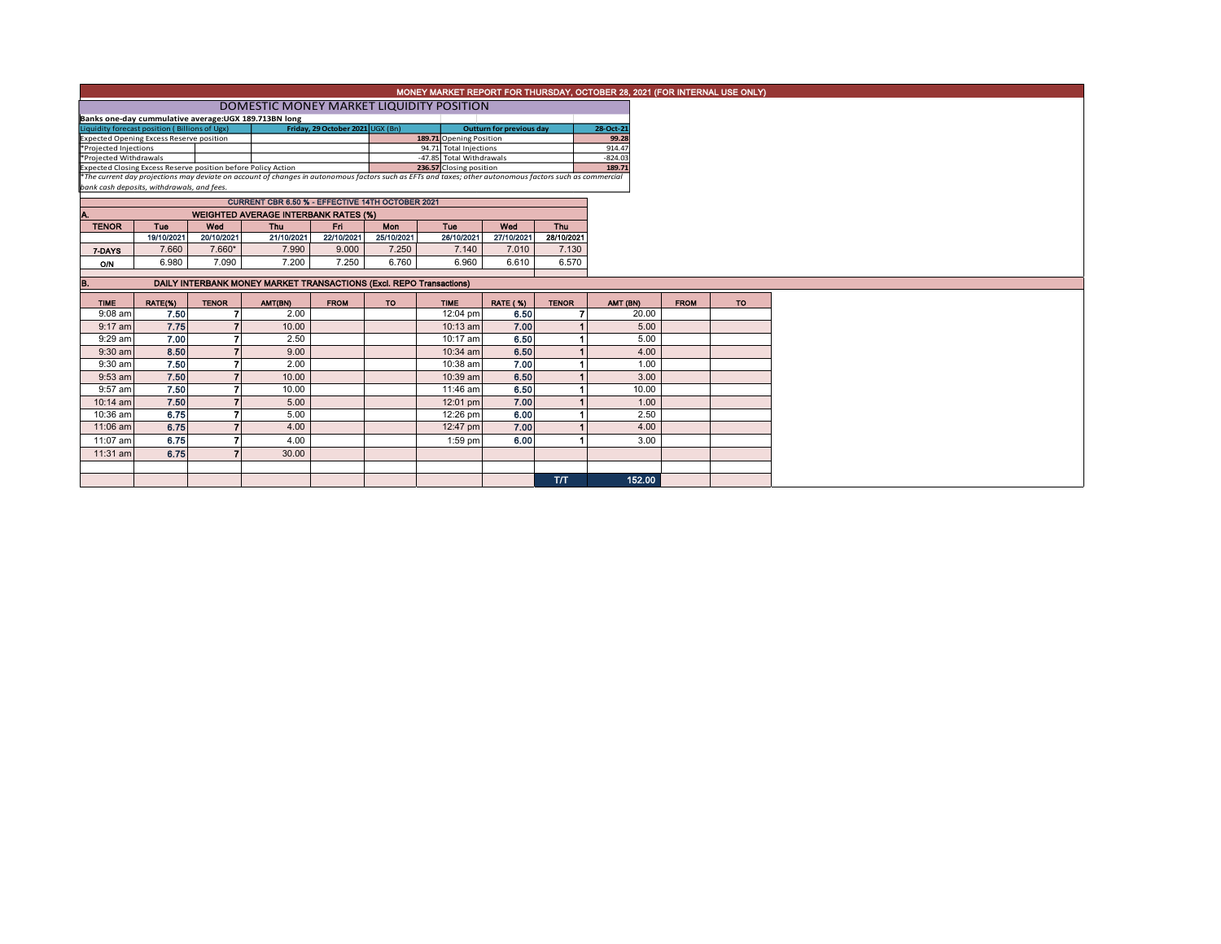|                                                                                                                                                                                                                           | MONEY MARKET REPORT FOR THURSDAY, OCTOBER 28, 2021 (FOR INTERNAL USE ONLY)                                                                                                                |                   |                                                                     |                   |                   |                          |                   |                   |           |  |             |  |
|---------------------------------------------------------------------------------------------------------------------------------------------------------------------------------------------------------------------------|-------------------------------------------------------------------------------------------------------------------------------------------------------------------------------------------|-------------------|---------------------------------------------------------------------|-------------------|-------------------|--------------------------|-------------------|-------------------|-----------|--|-------------|--|
|                                                                                                                                                                                                                           | DOMESTIC MONEY MARKET LIQUIDITY POSITION                                                                                                                                                  |                   |                                                                     |                   |                   |                          |                   |                   |           |  |             |  |
|                                                                                                                                                                                                                           | Banks one-day cummulative average:UGX 189.713BN long<br>Friday, 29 October 2021 UGX (Bn)<br>Liquidity forecast position (Billions of Ugx)<br><b>Outturn for previous day</b><br>28-Oct-21 |                   |                                                                     |                   |                   |                          |                   |                   |           |  |             |  |
|                                                                                                                                                                                                                           | 189.71 Opening Position<br><b>Expected Opening Excess Reserve position</b>                                                                                                                |                   |                                                                     |                   |                   |                          |                   |                   | 99.28     |  |             |  |
| *Projected Injections                                                                                                                                                                                                     |                                                                                                                                                                                           |                   |                                                                     |                   |                   | 94.71 Total Injections   |                   |                   | 914.47    |  |             |  |
| *Projected Withdrawals                                                                                                                                                                                                    |                                                                                                                                                                                           |                   |                                                                     |                   |                   | -47.85 Total Withdrawals |                   |                   | $-824.03$ |  |             |  |
| Expected Closing Excess Reserve position before Policy Action<br>*The current day projections may deviate on account of changes in autonomous factors such as EFTs and taxes; other autonomous factors such as commercial |                                                                                                                                                                                           |                   |                                                                     |                   |                   | 236.57 Closing position  |                   |                   | 189.71    |  |             |  |
|                                                                                                                                                                                                                           | bank cash deposits, withdrawals, and fees.                                                                                                                                                |                   |                                                                     |                   |                   |                          |                   |                   |           |  |             |  |
|                                                                                                                                                                                                                           |                                                                                                                                                                                           |                   |                                                                     |                   |                   |                          |                   |                   |           |  |             |  |
|                                                                                                                                                                                                                           |                                                                                                                                                                                           |                   | CURRENT CBR 6.50 % - EFFECTIVE 14TH OCTOBER 2021                    |                   |                   |                          |                   |                   |           |  |             |  |
| А.<br><b>WEIGHTED AVERAGE INTERBANK RATES (%)</b>                                                                                                                                                                         |                                                                                                                                                                                           |                   |                                                                     |                   |                   |                          |                   |                   |           |  |             |  |
| <b>TENOR</b>                                                                                                                                                                                                              | Tue<br>19/10/2021                                                                                                                                                                         | Wed<br>20/10/2021 | <b>Thu</b><br>21/10/2021                                            | Fri<br>22/10/2021 | Mon<br>25/10/2021 | <b>Tuo</b><br>26/10/2021 | Wod<br>27/10/2021 | Thu<br>28/10/2021 |           |  |             |  |
|                                                                                                                                                                                                                           | 7.660                                                                                                                                                                                     | 7.660*            | 7.990                                                               | 9.000             | 7.250             | 7.140                    | 7.010             | 7.130             |           |  |             |  |
| 7-DAYS                                                                                                                                                                                                                    |                                                                                                                                                                                           |                   |                                                                     |                   |                   |                          |                   |                   |           |  |             |  |
| ON                                                                                                                                                                                                                        | 6.980                                                                                                                                                                                     | 7.090             | 7.200                                                               | 7.250             | 6.760             | 6.960                    | 6.610             | 6.570             |           |  |             |  |
| В.                                                                                                                                                                                                                        |                                                                                                                                                                                           |                   | DAILY INTERBANK MONEY MARKET TRANSACTIONS (Excl. REPO Transactions) |                   |                   |                          |                   |                   |           |  |             |  |
| <b>TIME</b>                                                                                                                                                                                                               | RATE(%)                                                                                                                                                                                   | <b>TENOR</b>      | AMT(BN)                                                             | <b>FROM</b>       | <b>TO</b>         | <b>TIME</b>              | <b>RATE (%)</b>   | <b>TENOR</b>      | AMT (BN)  |  | <b>FROM</b> |  |
| $9:08$ am                                                                                                                                                                                                                 | 7.50                                                                                                                                                                                      |                   | 2.00                                                                |                   |                   | 12:04 pm                 | 6.50              |                   | 20.00     |  |             |  |
| $9:17$ am                                                                                                                                                                                                                 | 7.75                                                                                                                                                                                      |                   | 10.00                                                               |                   |                   | $10:13$ am               | 7.00              |                   | 5.00      |  |             |  |
| 9:29 am                                                                                                                                                                                                                   | 7.00                                                                                                                                                                                      | 7                 | 2.50                                                                |                   |                   | 10:17 am                 | 6.50              |                   | 5.00      |  |             |  |
| $9:30$ am                                                                                                                                                                                                                 | 8.50                                                                                                                                                                                      |                   | 9.00                                                                |                   |                   | $10:34$ am               | 6.50              |                   | 4.00      |  |             |  |
| $9:30$ am                                                                                                                                                                                                                 | 7.50                                                                                                                                                                                      |                   | 2.00                                                                |                   |                   | 10:38 am                 | 7.00              |                   | 1.00      |  |             |  |
| 9:53 am                                                                                                                                                                                                                   | 7.50                                                                                                                                                                                      | 7                 | 10.00                                                               |                   |                   | 10:39 am                 | 6.50              |                   | 3.00      |  |             |  |
| 9:57 am                                                                                                                                                                                                                   | 7.50                                                                                                                                                                                      |                   | 10.00                                                               |                   |                   | 11:46 am                 | 6.50              |                   | 10.00     |  |             |  |
| $10:14$ am                                                                                                                                                                                                                | 7.50                                                                                                                                                                                      |                   | 5.00                                                                |                   |                   | 12:01 pm                 | 7.00              |                   | 1.00      |  |             |  |
| 10:36 am                                                                                                                                                                                                                  | 6.75                                                                                                                                                                                      |                   | 5.00                                                                |                   |                   | 12:26 pm                 | 6.00              |                   | 2.50      |  |             |  |
| 11:06 am                                                                                                                                                                                                                  | 6.75                                                                                                                                                                                      |                   | 4.00                                                                |                   |                   | 12:47 pm                 | 7.00              |                   | 4.00      |  |             |  |
| 11:07 am                                                                                                                                                                                                                  | 6.75                                                                                                                                                                                      | 7                 | 4.00                                                                |                   |                   | $1:59$ pm                | 6.00              |                   | 3.00      |  |             |  |
| 11:31 am                                                                                                                                                                                                                  | 6.75                                                                                                                                                                                      |                   | 30.00                                                               |                   |                   |                          |                   |                   |           |  |             |  |
|                                                                                                                                                                                                                           |                                                                                                                                                                                           |                   |                                                                     |                   |                   |                          |                   |                   |           |  |             |  |
|                                                                                                                                                                                                                           |                                                                                                                                                                                           |                   |                                                                     |                   |                   |                          |                   |                   | 152.00    |  |             |  |
|                                                                                                                                                                                                                           |                                                                                                                                                                                           |                   |                                                                     |                   |                   |                          |                   | T/T               |           |  |             |  |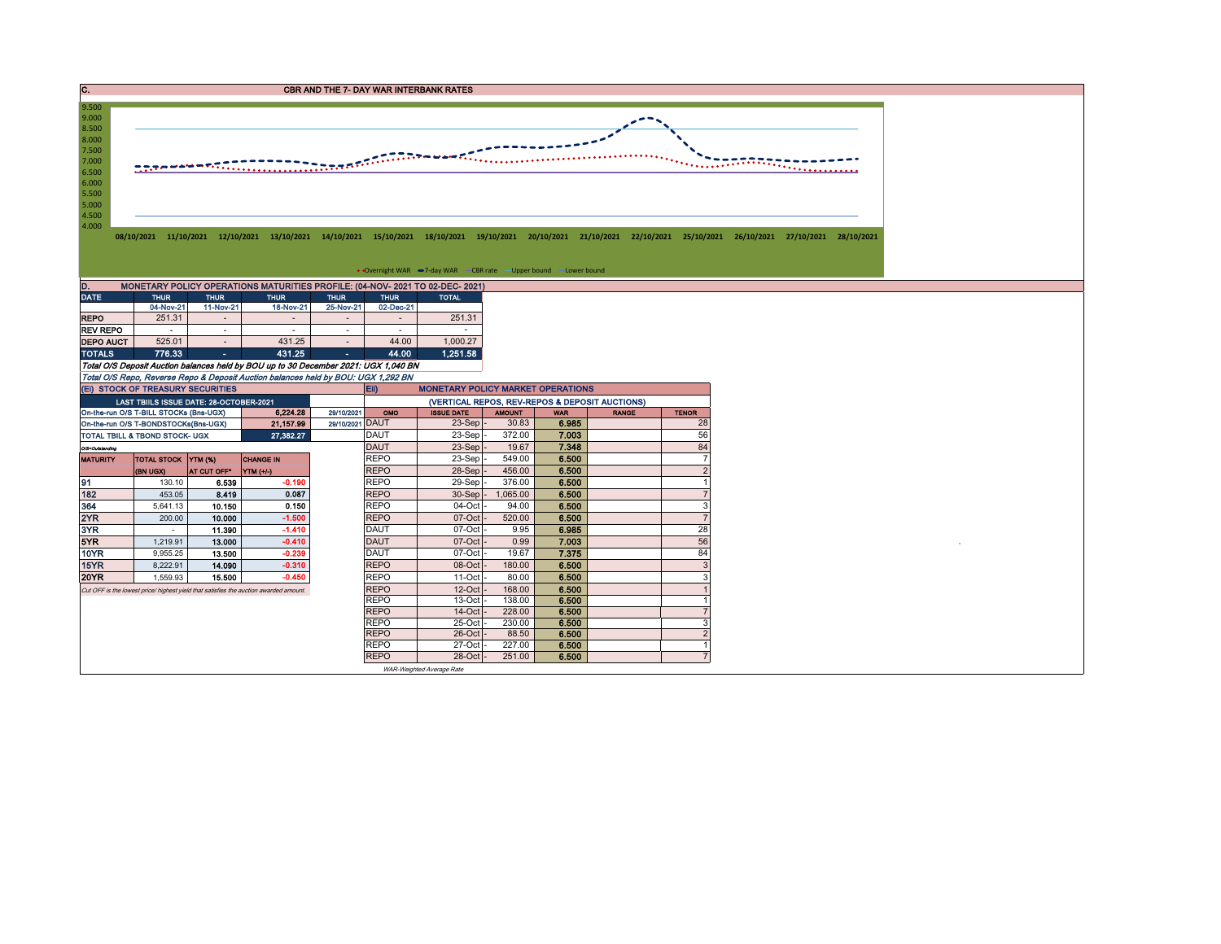C. CREASE IN THE 7- DAY WAR INTERBANK RATES



## • Overnight WAR -7-day WAR - CBR rate - Upper bound - Lower bound

| D.<br>MONETARY POLICY OPERATIONS MATURITIES PROFILE: (04-NOV-2021 TO 02-DEC-2021) |             |             |             |             |             |              |  |  |  |  |  |  |  |  |
|-----------------------------------------------------------------------------------|-------------|-------------|-------------|-------------|-------------|--------------|--|--|--|--|--|--|--|--|
| <b>DATE</b>                                                                       | <b>THUR</b> | <b>THUR</b> | <b>THUR</b> | <b>THUR</b> | <b>THUR</b> | <b>TOTAL</b> |  |  |  |  |  |  |  |  |
|                                                                                   | 04-Nov-21   | 11-Nov-21   | 18-Nov-21   | 25-Nov-21   | 02-Dec-21   |              |  |  |  |  |  |  |  |  |
| <b>REPO</b>                                                                       | 251.31      | ٠           |             |             | ۰           | 251.31       |  |  |  |  |  |  |  |  |
| <b>REV REPO</b>                                                                   |             |             |             |             |             |              |  |  |  |  |  |  |  |  |
| <b>DEPO AUCT</b>                                                                  | 525.01      | ۰           | 431.25      |             | 44.00       | 1.000.27     |  |  |  |  |  |  |  |  |
| <b>TOTALS</b>                                                                     | 776.33      | ٠           | 431.25      | <b>COL</b>  | 44.00       | 1.251.58     |  |  |  |  |  |  |  |  |

Total O/S Deposit Auction balances held by BOU up to 30 December 2021: UGX 1,040 BN Total O/S Repo, Reverse Repo & Deposit Auction balances held by BOU: UGX 1,292 BN

|                                        | (EI) STOCK OF TREASURY SECURITIES       |                    |                                                                                      |                 | <b>MONETARY POLICY MARKET OPERATIONS</b><br><b>E</b> ii) |                           |               |            |              |              |  |  |  |
|----------------------------------------|-----------------------------------------|--------------------|--------------------------------------------------------------------------------------|-----------------|----------------------------------------------------------|---------------------------|---------------|------------|--------------|--------------|--|--|--|
|                                        | LAST TBIILS ISSUE DATE: 28-OCTOBER-2021 |                    |                                                                                      |                 | (VERTICAL REPOS, REV-REPOS & DEPOSIT AUCTIONS)           |                           |               |            |              |              |  |  |  |
|                                        | On-the-run O/S T-BILL STOCKs (Bns-UGX)  |                    | 6,224.28                                                                             | 29/10/2021      | OMO                                                      | <b>ISSUE DATE</b>         | <b>AMOUNT</b> | <b>WAR</b> | <b>RANGE</b> | <b>TENOR</b> |  |  |  |
|                                        | On-the-run O/S T-BONDSTOCKs(Bns-UGX)    |                    | 21.157.99                                                                            | 29/10/2021 DAUT |                                                          | $23-Sep$                  | 30.83         | 6.985      |              | 28           |  |  |  |
|                                        | TOTAL TBILL & TBOND STOCK- UGX          |                    | 27,382.27                                                                            |                 | <b>DAUT</b>                                              | $23-Sep$                  | 372.00        | 7.003      |              | 56           |  |  |  |
| O/S=Outstanding                        |                                         |                    |                                                                                      |                 | <b>DAUT</b>                                              | $23-Sep$ .                | 19.67         | 7.348      |              | 84           |  |  |  |
| TOTAL STOCK YTM (%)<br><b>MATURITY</b> |                                         |                    | <b>CHANGE IN</b>                                                                     |                 | <b>REPO</b>                                              | $23-Sep$ -                | 549.00        | 6.500      |              |              |  |  |  |
|                                        | <b>(BN UGX)</b>                         | <b>AT CUT OFF'</b> | YTM (+/-)                                                                            |                 | <b>REPO</b>                                              | 28-Sep -                  | 456.00        | 6.500      |              |              |  |  |  |
| 91                                     | 130.10                                  | 6.539              | $-0.190$                                                                             |                 | <b>REPO</b>                                              | 29-Sep-                   | 376.00        | 6.500      |              |              |  |  |  |
| 182                                    | 453.05                                  | 8.419              | 0.087                                                                                |                 | <b>REPO</b>                                              | $30-Sep$ -                | 1,065.00      | 6.500      |              |              |  |  |  |
| 364                                    | 5,641.13                                | 10.150             | 0.150                                                                                |                 | <b>REPO</b>                                              | 04-Oct                    | 94.00         | 6.500      |              |              |  |  |  |
| 2YR                                    | 200.00                                  | 10.000             | $-1.500$                                                                             |                 | <b>REPO</b>                                              | $07$ -Oct                 | 520.00        | 6.500      |              |              |  |  |  |
| 3YR                                    |                                         | 11.390             | $-1.410$                                                                             |                 | <b>DAUT</b>                                              | 07-Oct                    | 9.95          | 6.985      |              | 28           |  |  |  |
| 5YR.                                   | 1.219.91                                | 13.000             | $-0.410$                                                                             |                 | <b>DAUT</b>                                              | $07$ -Oct                 | 0.99          | 7.003      |              | 56           |  |  |  |
| 10YR                                   | 9.955.25                                | 13.500             | $-0.239$                                                                             |                 | <b>DAUT</b>                                              | $07-Cct$                  | 19.67         | 7.375      |              | 84           |  |  |  |
| 15YR                                   | 8,222.91                                | 14.090             | $-0.310$                                                                             |                 | <b>REPO</b>                                              | $08-Oct$                  | 180.00        | 6.500      |              |              |  |  |  |
| 20YR                                   | 1.559.93                                | 15,500             | $-0.450$                                                                             |                 | <b>REPO</b>                                              | 11-Oct                    | 80.00         | 6.500      |              |              |  |  |  |
|                                        |                                         |                    | Cut OFF is the lowest price/highest yield that satisfies the auction awarded amount. |                 | <b>REPO</b>                                              | $12$ -Oct $-$             | 168.00        | 6.500      |              |              |  |  |  |
|                                        |                                         |                    |                                                                                      |                 | <b>REPO</b>                                              | $13-Oct$                  | 138.00        | 6.500      |              |              |  |  |  |
|                                        |                                         |                    |                                                                                      |                 | <b>REPO</b>                                              | $14$ -Oct                 | 228.00        | 6.500      |              |              |  |  |  |
|                                        |                                         |                    |                                                                                      |                 | <b>REPO</b>                                              | 25-Oct                    | 230.00        | 6.500      |              |              |  |  |  |
|                                        |                                         |                    |                                                                                      |                 | <b>REPO</b>                                              | $26$ -Oct                 | 88.50         | 6.500      |              |              |  |  |  |
|                                        |                                         |                    |                                                                                      |                 | <b>REPO</b>                                              | $27$ -Oct $\cdot$         | 227.00        | 6.500      |              |              |  |  |  |
|                                        |                                         |                    |                                                                                      |                 | <b>REPO</b>                                              | 28-Oct -                  | 251.00        | 6.500      |              |              |  |  |  |
|                                        |                                         |                    |                                                                                      |                 |                                                          | WAR-Weighted Average Rate |               |            |              |              |  |  |  |